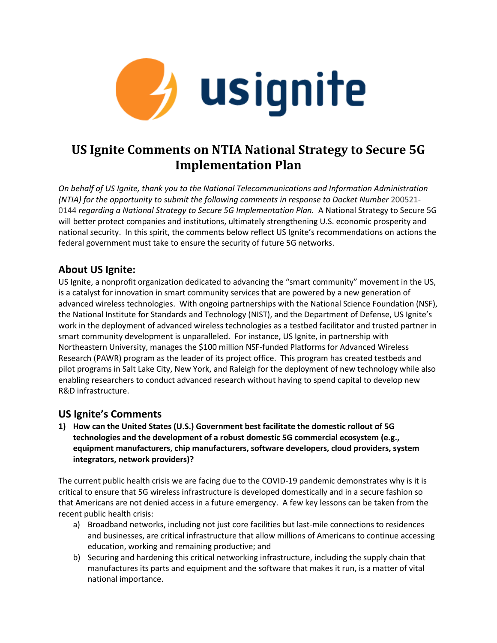

# **US Ignite Comments on NTIA National Strategy to Secure 5G Implementation Plan**

*On behalf of US Ignite, thank you to the National Telecommunications and Information Administration (NTIA)* for the opportunity to submit the following comments in response to Docket Number 200521-0144 *regarding a National Strategy to Secure 5G Implementation Plan.* A National Strategy to Secure 5G will better protect companies and institutions, ultimately strengthening U.S. economic prosperity and national security. In this spirit, the comments below reflect US Ignite's recommendations on actions the federal government must take to ensure the security of future 5G networks.

## **About US Ignite:**

US Ignite, a nonprofit organization dedicated to advancing the "smart community" movement in the US, is a catalyst for innovation in smart community services that are powered by a new generation of advanced wireless technologies. With ongoing partnerships with the National Science Foundation (NSF), the National Institute for Standards and Technology (NIST), and the Department of Defense, US Ignite's work in the deployment of advanced wireless technologies as a testbed facilitator and trusted partner in smart community development is unparalleled. For instance, US Ignite, in partnership with Northeastern University, manages the \$100 million NSF-funded Platforms for Advanced Wireless Research (PAWR) program as the leader of its project office. This program has created testbeds and pilot programs in Salt Lake City, New York, and Raleigh for the deployment of new technology while also enabling researchers to conduct advanced research without having to spend capital to develop new R&D infrastructure.

## **US Ignite's Comments**

**1) How can the United States (U.S.) Government best facilitate the domestic rollout of 5G technologies and the development of a robust domestic 5G commercial ecosystem (e.g., equipment manufacturers, chip manufacturers, software developers, cloud providers, system integrators, network providers)?** 

The current public health crisis we are facing due to the COVID-19 pandemic demonstrates why is it is critical to ensure that 5G wireless infrastructure is developed domestically and in a secure fashion so that Americans are not denied access in a future emergency. A few key lessons can be taken from the recent public health crisis:

- a) Broadband networks, including not just core facilities but last-mile connections to residences and businesses, are critical infrastructure that allow millions of Americans to continue accessing education, working and remaining productive; and
- b) Securing and hardening this critical networking infrastructure, including the supply chain that manufactures its parts and equipment and the software that makes it run, is a matter of vital national importance.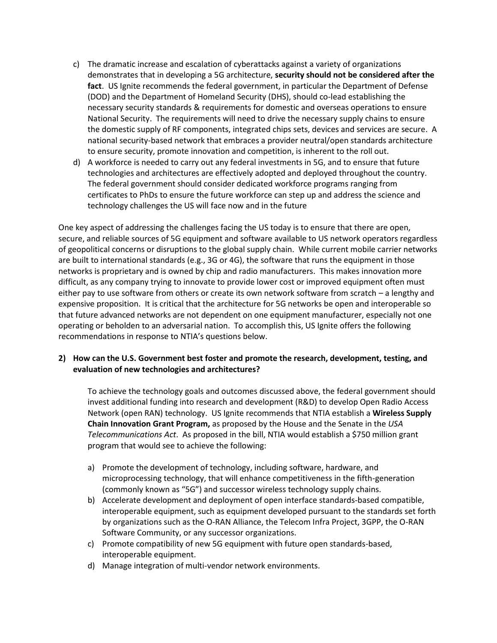- c) The dramatic increase and escalation of cyberattacks against a variety of organizations demonstrates that in developing a 5G architecture, **security should not be considered after the fact**. US Ignite recommends the federal government, in particular the Department of Defense (DOD) and the Department of Homeland Security (DHS), should co-lead establishing the necessary security standards & requirements for domestic and overseas operations to ensure National Security. The requirements will need to drive the necessary supply chains to ensure the domestic supply of RF components, integrated chips sets, devices and services are secure. A national security-based network that embraces a provider neutral/open standards architecture to ensure security, promote innovation and competition, is inherent to the roll out.
- d) A workforce is needed to carry out any federal investments in 5G, and to ensure that future technologies and architectures are effectively adopted and deployed throughout the country. The federal government should consider dedicated workforce programs ranging from certificates to PhDs to ensure the future workforce can step up and address the science and technology challenges the US will face now and in the future

One key aspect of addressing the challenges facing the US today is to ensure that there are open, secure, and reliable sources of 5G equipment and software available to US network operators regardless of geopolitical concerns or disruptions to the global supply chain. While current mobile carrier networks are built to international standards (e.g., 3G or 4G), the software that runs the equipment in those networks is proprietary and is owned by chip and radio manufacturers. This makes innovation more difficult, as any company trying to innovate to provide lower cost or improved equipment often must either pay to use software from others or create its own network software from scratch – a lengthy and expensive proposition. It is critical that the architecture for 5G networks be open and interoperable so that future advanced networks are not dependent on one equipment manufacturer, especially not one operating or beholden to an adversarial nation. To accomplish this, US Ignite offers the following recommendations in response to NTIA's questions below.

#### **2) How can the U.S. Government best foster and promote the research, development, testing, and evaluation of new technologies and architectures?**

To achieve the technology goals and outcomes discussed above, the federal government should invest additional funding into research and development (R&D) to develop Open Radio Access Network (open RAN) technology. US Ignite recommends that NTIA establish a **Wireless Supply Chain Innovation Grant Program,** as proposed by the House and the Senate in the *USA Telecommunications Act*. As proposed in the bill, NTIA would establish a \$750 million grant program that would see to achieve the following:

- a) Promote the development of technology, including software, hardware, and microprocessing technology, that will enhance competitiveness in the fifth-generation (commonly known as "5G") and successor wireless technology supply chains.
- b) Accelerate development and deployment of open interface standards-based compatible, interoperable equipment, such as equipment developed pursuant to the standards set forth by organizations such as the O-RAN Alliance, the Telecom Infra Project, 3GPP, the O-RAN Software Community, or any successor organizations.
- c) Promote compatibility of new 5G equipment with future open standards-based, interoperable equipment.
- d) Manage integration of multi-vendor network environments.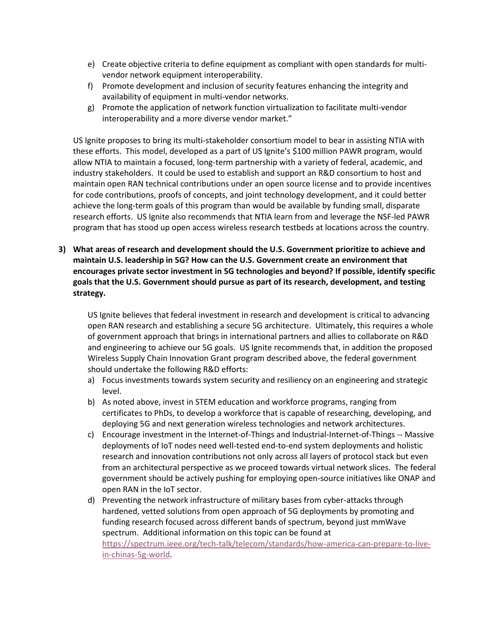- e) Create objective criteria to define equipment as compliant with open standards for multivendor network equipment interoperability.
- f) Promote development and inclusion of security features enhancing the integrity and availability of equipment in multi-vendor networks.
- g) Promote the application of network function virtualization to facilitate multi-vendor interoperability and a more diverse vendor market."

US Ignite proposes to bring its multi-stakeholder consortium model to bear in assisting NTIA with these efforts. This model, developed as a part of US Ignite's \$100 million PAWR program, would allow NTIA to maintain a focused, long-term partnership with a variety of federal, academic, and industry stakeholders. It could be used to establish and support an R&D consortium to host and maintain open RAN technical contributions under an open source license and to provide incentives for code contributions, proofs of concepts, and joint technology development, and it could better achieve the long-term goals of this program than would be available by funding small, disparate research efforts. US Ignite also recommends that NTIA learn from and leverage the NSF-led PAWR program that has stood up open access wireless research testbeds at locations across the country.

**3) What areas of research and development should the U.S. Government prioritize to achieve and maintain U.S. leadership in 5G? How can the U.S. Government create an environment that encourages private sector investment in 5G technologies and beyond? If possible, identify specific goals that the U.S. Government should pursue as part of its research, development, and testing strategy.** 

US Ignite believes that federal investment in research and development is critical to advancing open RAN research and establishing a secure 5G architecture. Ultimately, this requires a whole of government approach that brings in international partners and allies to collaborate on R&D and engineering to achieve our 5G goals. US Ignite recommends that, in addition the proposed Wireless Supply Chain Innovation Grant program described above, the federal government should undertake the following R&D efforts:

- a) Focus investments towards system security and resiliency on an engineering and strategic level.
- b) As noted above, invest in STEM education and workforce programs, ranging from certificates to PhDs, to develop a workforce that is capable of researching, developing, and deploying 5G and next generation wireless technologies and network architectures.
- c) Encourage investment in the Internet-of-Things and Industrial-Internet-of-Things -- Massive deployments of IoT nodes need well-tested end-to-end system deployments and holistic research and innovation contributions not only across all layers of protocol stack but even from an architectural perspective as we proceed towards virtual network slices. The federal government should be actively pushing for employing open-source initiatives like ONAP and open RAN in the IoT sector.
- d) Preventing the network infrastructure of military bases from cyber-attacks through hardened, vetted solutions from open approach of 5G deployments by promoting and funding research focused across different bands of spectrum, beyond just mmWave spectrum. Additional information on this topic can be found at [https://spectrum.ieee.org/tech-talk/telecom/standards/how-america-can-prepare-to-live](https://spectrum.ieee.org/tech-talk/telecom/standards/how-america-can-prepare-to-live-in-chinas-5g-world)[in-chinas-5g-world.](https://spectrum.ieee.org/tech-talk/telecom/standards/how-america-can-prepare-to-live-in-chinas-5g-world)